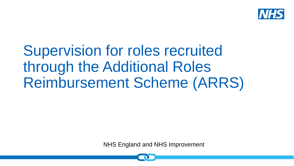

Supervision for roles recruited through the Additional Roles Reimbursement Scheme (ARRS)

NHS England and NHS Improvement NHS England and NHS Improvement

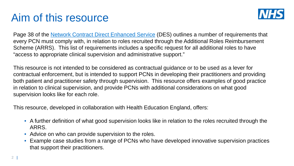### Aim of this resource



Page 38 of the [Network Contract Direct Enhanced Service](https://www.england.nhs.uk/wp-content/uploads/2020/03/Network-Contract-DES-Specification-PCN-Requirements-and-Entitlements-2020-21-October-FINAL.pdf) (DES) outlines a number of requirements that every PCN must comply with, in relation to roles recruited through the Additional Roles Reimbursement Scheme (ARRS). This list of requirements includes a specific request for all additional roles to have "access to appropriate clinical supervision and administrative support."

This resource is not intended to be considered as contractual guidance or to be used as a lever for contractual enforcement, but is intended to support PCNs in developing their practitioners and providing both patient and practitioner safety through supervision. This resource offers examples of good practice in relation to clinical supervision, and provide PCNs with additional considerations on what good supervision looks like for each role.

This resource, developed in collaboration with Health Education England, offers:

- A further definition of what good supervision looks like in relation to the roles recruited through the ARRS.
- Advice on who can provide supervision to the roles.
- Example case studies from a range of PCNs who have developed innovative supervision practices that support their practitioners.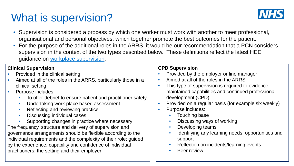# What is supervision?



- Supervision is considered a process by which one worker must work with another to meet professional, organisational and personal objectives, which together promote the best outcomes for the patient.
- For the purpose of the additional roles in the ARRS, it would be our recommendation that a PCN considers supervision in the context of the two types described below. These definitions reflect the latest HEE guidance on [workplace supervision](https://www.hee.nhs.uk/our-work/advanced-practice/reports-publications/workplace-supervision-advanced-clinical-practice).

#### **Clinical Supervision**

- Provided in the clinical setting
- Aimed at all of the roles in the ARRS, particularly those in a clinical setting
- Purpose includes:
	- To offer debrief to ensure patient and practitioner safety
	- Undertaking work place based assessment
	- Reflecting and reviewing practice
	- Discussing individual cases
- Supporting changes in practice where necessary The frequency, structure and delivery of supervision and governance arrangements should be flexible according to the individual requirements and the complexity of their role; guided by the experience, capability and confidence of individual practitioners; the setting and their employer

#### **CPD Supervision**

- Provided by the employer or line manager
- Aimed at all of the roles in the ARRS
- This type of supervision is required to evidence maintained capabilities and continued professional development (CPD)
- Provided on a regular basis (for example six weekly)
- Purpose includes:
	- Touching base
	- Discussing ways of working
	- Developing teams
	- Identifying any learning needs, opportunities and support
	- Reflection on incidents/learning events
	- Peer review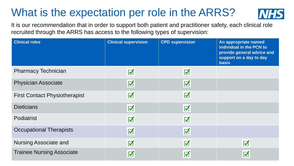## What is the expectation per role in the ARRS?



It is our recommendation that in order to support both patient and practitioner safety, each clinical role recruited through the ARRS has access to the following types of supervision:

| <b>Clinical roles</b>                | <b>Clinical supervision</b>  | <b>CPD supervision</b>  | An appropriate named<br>individual in the PCN to<br>provide general advice and<br>support on a day to day<br><b>basis</b> |
|--------------------------------------|------------------------------|-------------------------|---------------------------------------------------------------------------------------------------------------------------|
| <b>Pharmacy Technician</b>           | $\overline{\mathsf{M}}$      | $\overline{\mathbf{v}}$ |                                                                                                                           |
| <b>Physician Associate</b>           | $\blacktriangledown$         | $\overline{\mathbf{v}}$ |                                                                                                                           |
| <b>First Contact Physiotherapist</b> | $\overline{\mathsf{M}}$      | $\overline{\mathbf{v}}$ |                                                                                                                           |
| <b>Dieticians</b>                    | $\overline{\mathbf{v}}$      | $\overline{\mathbf{v}}$ |                                                                                                                           |
| Podiatrist                           | $\blacktriangledown$         | $\overline{\mathbf{v}}$ |                                                                                                                           |
| <b>Occupational Therapists</b>       | $\overline{\mathbf{v}}$      | $\overline{\mathbf{v}}$ |                                                                                                                           |
| <b>Nursing Associate and</b>         | $\overline{\mathsf{v}}$      | $\overline{\mathsf{v}}$ | $\overline{\mathsf{v}}$                                                                                                   |
| <b>Trainee Nursing Associate</b>     | $\overline{\bm{\mathsf{v}}}$ | $\overline{\mathbf{v}}$ | $\overline{\mathsf{v}}$                                                                                                   |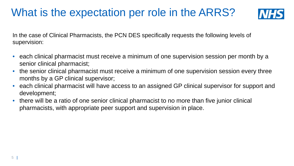## What is the expectation per role in the ARRS?



In the case of Clinical Pharmacists, the PCN DES specifically requests the following levels of supervision:

- each clinical pharmacist must receive a minimum of one supervision session per month by a senior clinical pharmacist;
- the senior clinical pharmacist must receive a minimum of one supervision session every three months by a GP clinical supervisor;
- each clinical pharmacist will have access to an assigned GP clinical supervisor for support and development;
- there will be a ratio of one senior clinical pharmacist to no more than five junior clinical pharmacists, with appropriate peer support and supervision in place.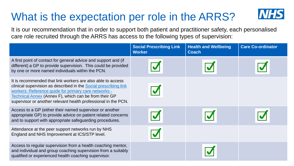# What is the expectation per role in the ARRS?

It is our recommendation that in order to support both patient and practitioner safety, each personalised care role recruited through the ARRS has access to the following types of supervision:

|                                                                                                                                                                                                                                                                                                                    | <b>Social Prescribing Link</b><br><b>Worker</b> | <b>Health and Wellbeing</b><br><b>Coach</b> | <b>Care Co-ordinator</b> |
|--------------------------------------------------------------------------------------------------------------------------------------------------------------------------------------------------------------------------------------------------------------------------------------------------------------------|-------------------------------------------------|---------------------------------------------|--------------------------|
| A first point of contact for general advice and support and (if<br>different) a GP to provide supervision. This could be provided<br>by one or more named individuals within the PCN.                                                                                                                              |                                                 |                                             |                          |
| It is recommended that link workers are also able to access<br>clinical supervision as described in the Social prescribing link<br>workers: Reference guide for primary care networks -<br>Technical Annex (Annex F), which can be from their GP<br>supervisor or another relevant health professional in the PCN. |                                                 |                                             |                          |
| Access to a GP (either their named supervisor or another<br>appropriate GP) to provide advice on patient related concerns<br>and to support with appropriate safeguarding procedures.                                                                                                                              |                                                 |                                             |                          |
| Attendance at the peer support networks run by NHS<br>England and NHS Improvement at ICS/STP level.                                                                                                                                                                                                                |                                                 |                                             |                          |
| Access to regular supervision from a health coaching mentor,<br>and individual and group coaching supervision from a suitably<br>qualified or experienced health coaching supervisor.                                                                                                                              |                                                 |                                             |                          |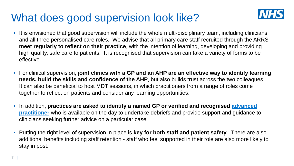#### What does good supervision look like?



- It is envisioned that good supervision will include the whole multi-disciplinary team, including clinicians and all three personalised care roles. We advise that all primary care staff recruited through the ARRS **meet regularly to reflect on their practice**, with the intention of learning, developing and providing high quality, safe care to patients. It is recognised that supervision can take a variety of forms to be effective.
- For clinical supervision, **joint clinics with a GP and an AHP are an effective way to identify learning needs, build the skills and confidence of the AHP**, but also builds trust across the two colleagues. It can also be beneficial to host MDT sessions, in which practitioners from a range of roles come together to reflect on patients and consider any learning opportunities.
- In addition, **[practices are asked to identify a named GP or verified and recognised advanced](https://www.hee.nhs.uk/our-work/advanced-clinical-practice) practitioner** who is available on the day to undertake debriefs and provide support and guidance to clinicians seeking further advice on a particular case.
- Putting the right level of supervision in place is **key for both staff and patient safety**. There are also additional benefits including staff retention - staff who feel supported in their role are also more likely to stay in post.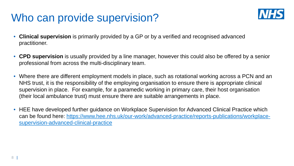#### Who can provide supervision?



- **Clinical supervision** is primarily provided by a GP or by a verified and recognised advanced practitioner.
- **CPD supervision** is usually provided by a line manager, however this could also be offered by a senior professional from across the multi-disciplinary team.
- Where there are different employment models in place, such as rotational working across a PCN and an NHS trust, it is the responsibility of the employing organisation to ensure there is appropriate clinical supervision in place. For example, for a paramedic working in primary care, their host organisation (their local ambulance trust) must ensure there are suitable arrangements in place.
- HEE have developed further guidance on Workplace Supervision for Advanced Clinical Practice which [can be found here: https://www.hee.nhs.uk/our-work/advanced-practice/reports-publications/workplace](https://www.hee.nhs.uk/our-work/advanced-practice/reports-publications/workplace-supervision-advanced-clinical-practice)supervision-advanced-clinical-practice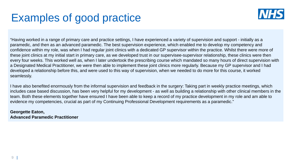

"Having worked in a range of primary care and practice settings, I have experienced a variety of supervision and support - initially as a paramedic, and then as an advanced paramedic. The best supervision experience, which enabled me to develop my competency and confidence within my role, was when I had regular joint clinics with a dedicated GP supervisor within the practice. Whilst there were more of these joint clinics at my initial start in primary care, as we developed trust in our supervisee-supervisor relationship, these clinics were then every four weeks. This worked well as, when I later undertook the prescribing course which mandated so many hours of direct supervision with a Designated Medical Practitioner, we were then able to implement these joint clinics more regularly. Because my GP supervisor and I had developed a relationship before this, and were used to this way of supervision, when we needed to do more for this course, it worked seamlessly.

I have also benefited enormously from the informal supervision and feedback in the surgery: Taking part in weekly practice meetings, which includes case based discussion, has been very helpful for my development - as well as building a relationship with other clinical members in the team. Both these elements together have ensured I have been able to keep a record of my practice development in my role and am able to evidence my competencies, crucial as part of my Continuing Professional Development requirements as a paramedic."

**Georgette Eaton, Advanced Paramedic Practitioner**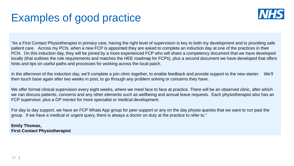

"As a First Contact Physiotherapist in primary care, having the right level of supervision is key to both my development and to providing safe patient care. Across my PCN, when a new FCP is appointed they are asked to complete an induction day at one of the practices in their PCN. On this induction day, they will be joined by a more experienced FCP who will share a competency document that we have developed locally (that outlines the role requirements and matches the HEE roadmap for FCPs), plus a second document we have developed that offers hints and tips on useful paths and processes for working across the local patch.

In the afternoon of the induction day, we'll complete a join clinic together, to enable feedback and provide support to the new starter. We'll then touch base again after two weeks in post, to go through any problem solving or concerns they have.

We offer formal clinical supervision every eight weeks, where we meet face to face at practice. There will be an observed clinic, after which we can discuss patients, concerns and any other elements such as wellbeing and annual leave requests. Each physiotherapist also has an FCP supervisor, plus a GP mentor for more specialist or medical development.

For day to day support, we have an FCP Whats App group for peer support or any on the day physio queries that we want to run past the group. If we have a medical or urgent query, there is always a doctor on duty at the practice to refer to."

**Emily Thomas, First Contact Physiotherapist**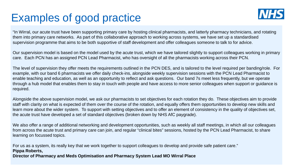

"In Wirral, our acute trust have been supporting primary care by hosting clinical pharmacists, and latterly pharmacy technicians, and rotating them into primary care networks. As part of this collaborative approach to working across systems, we have set up a standardised supervision programme that aims to be both supportive of staff development and offer colleagues someone to talk to for advice.

Our supervision model is based on the model used by the acute trust, which we have tailored slightly to support colleagues working in primary care. Each PCN has an assigned PCN Lead Pharmacist, who has oversight of all the pharmacists working across their PCN.

The level of supervision they offer meets the requirements outlined in the PCN DES, and is tailored to the level required per banding/role. For example, with our band 6 pharmacists we offer daily check-ins, alongside weekly supervision sessions with the PCN Lead Pharmacist to enable teaching and education, as well as an opportunity to reflect and ask questions. Our band 7s meet less frequently, but we operate through a hub model that enables them to stay in touch with people and have access to more senior colleagues when support or guidance is required.

Alongside the above supervision model, we ask our pharmacists to set objectives for each rotation they do. These objectives aim to provide staff with clarity on what is expected of them over the course of the rotation, and equally offers them opportunities to develop new skills and learn more about the wider system. To support with setting objectives and to offer an element of consistency in the quality of objectives set, the acute trust have developed a set of standard objectives (broken down by NHS AfC paygrade).

We also offer a range of additional networking and development opportunities, such as weekly all staff meetings, in which all our colleagues from across the acute trust and primary care can join, and regular "clinical bites" sessions, hosted by the PCN Lead Pharmacist, to share learning on focussed topics.

Director of Pharmacy and Meds Optimisation and Pharmacy System Lead MO Wirral Place For us as a system, its really key that we work together to support colleagues to develop and provide safe patient care." **Pippa Roberts,**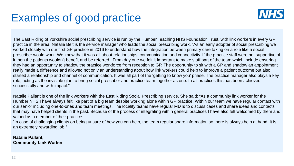

The East Riding of Yorkshire social prescribing service is run by the Humber Teaching NHS Foundation Trust, with link workers in every GP practice in the area. Natalie Belt is the service manager who leads the social prescribing work. "As an early adopter of social prescribing we worked closely with our first GP practice in 2016 to understand how the integration between primary care taking on a role like a social prescriber would work. We knew that it was all about relationships, communication and connectivity. If the practice staff were not supportive of it then the patients wouldn't benefit and be referred. From day one we felt it important to make staff part of the team which include ensuring they had an opportunity to shadow the practice workforce from reception to GP. The opportunity to sit with a GP and shadow an appointment really made a difference and allowed not only an understanding about how link workers could help to improve a patient outcome but also started a relationship and channel of communication. It was all part of the 'getting to know you' phase. The practice manager also plays a key role, acting as the invisible glue to bring social prescriber and practice team together as one. In all practices this has been achieved successfully and with impact."

Natalie Pallant is one of the link workers with the East Riding Social Prescribing service. She said: "As a community link worker for the Humber NHS I have always felt like part of a big team despite working alone within GP practice. Within our team we have regular contact with our senior including one-to-ones and team meetings. The locality teams have regular MDTs to discuss cases and share ideas and contacts that may have helped clients in the past. Because of the process of integrating within general practices I have also felt welcomed by them and valued as a member of their practice.

"In case of challenging clients on being unsure of how you can help, the team regular share information so there is always help at hand. It is an extremely rewarding job."

**Natalie Pallant, Community Link Worker**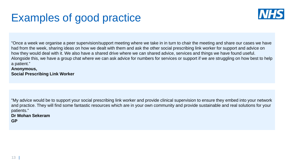

"Once a week we organise a peer supervision/support meeting where we take in in turn to chair the meeting and share our cases we have had from the week, sharing ideas on how we dealt with them and ask the other social prescribing link worker for support and advice on how they would deal with it. We also have a shared drive where we can shared advice, services and things we have found useful. Alongside this, we have a group chat where we can ask advice for numbers for services or support if we are struggling on how best to help a patient."

#### **Anonymous, Social Prescribing Link Worker**

"My advice would be to support your social prescribing link worker and provide clinical supervision to ensure they embed into your network and practice. They will find some fantastic resources which are in your own community and provide sustainable and real solutions for your patients."

#### **Dr Mohan Sekeram**

**GP**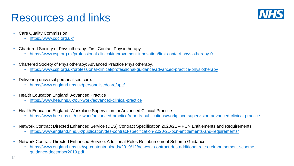#### Resources and links



- Care Quality Commission.
	- <https://www.cqc.org.uk/>
- Chartered Society of Physiotherapy: First Contact Physiotherapy.
	- <https://www.csp.org.uk/professional-clinical/improvement-innovation/first-contact-physiotherapy-0>
- Chartered Society of Physiotherapy: Advanced Practice Physiotherapy.
	- <https://www.csp.org.uk/professional-clinical/professional-guidance/advanced-practice-physiotherapy>
- Delivering universal personalised care.
	- <https://www.england.nhs.uk/personalisedcare/upc/>
- Health Education England: Advanced Practice
	- <https://www.hee.nhs.uk/our-work/advanced-clinical-practice>
- Health Education England: Workplace Supervision for Advanced Clinical Practice
	- <https://www.hee.nhs.uk/our-work/advanced-practice/reports-publications/workplace-supervision-advanced-clinical-practice>
- Network Contract Directed Enhanced Service (DES) Contract Specification 2020/21 PCN Entitlements and Requirements.
	- <https://www.england.nhs.uk/publication/des-contract-specification-2020-21-pcn-entitlements-and-requirements/>
- Network Contract Directed Enhanced Service: Additional Roles Reimbursement Scheme Guidance.
	- [https://www.england.nhs.uk/wp-content/uploads/2019/12/network-contract-des-additional-roles-reimbursement-scheme](https://www.england.nhs.uk/wp-content/uploads/2019/12/network-contract-des-additional-roles-reimbursement-scheme-guidance-december2019.pdf)guidance-december2019.pdf